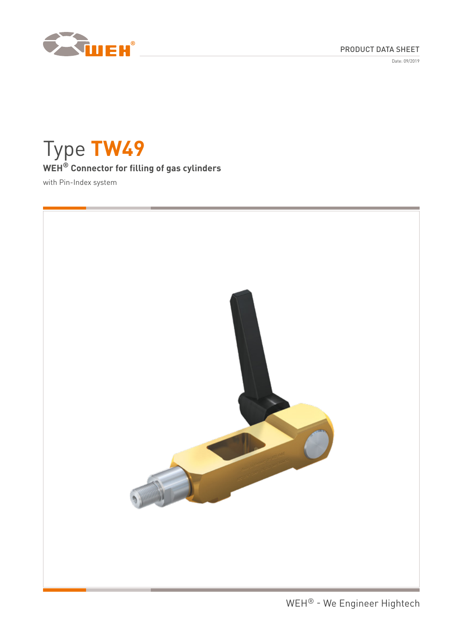

Date: 09/2019



Type **TW49 WEH® Connector for filling of gas cylinders** with Pin-Index system

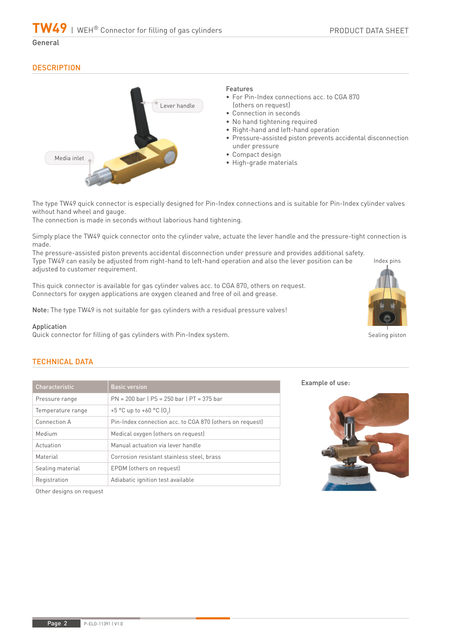General

## **DESCRIPTION**



The type TW49 quick connector is especially designed for Pin-Index connections and is suitable for Pin-Index cylinder valves without hand wheel and gauge.

The connection is made in seconds without laborious hand tightening.

Simply place the TW49 quick connector onto the cylinder valve, actuate the lever handle and the pressure-tight connection is made.

The pressure-assisted piston prevents accidental disconnection under pressure and provides additional safety. Type TW49 can easily be adjusted from right-hand to left-hand operation and also the lever position can be adjusted to customer requirement.

This quick connector is available for gas cylinder valves acc. to CGA 870, others on request. Connectors for oxygen applications are oxygen cleaned and free of oil and grease.

Note: The type TW49 is not suitable for gas cylinders with a residual pressure valves!

#### Application

Quick connector for filling of gas cylinders with Pin-Index system.

# Sealing piston

Index pins

## TECHNICAL DATA

| Characteristic    | <b>Basic version</b>                                     |  |  |
|-------------------|----------------------------------------------------------|--|--|
| Pressure range    | $PN = 200$ bar   $PS = 250$ bar   $PT = 375$ bar         |  |  |
| Temperature range | +5 °C up to +60 °C $[0,]$                                |  |  |
| Connection A      | Pin-Index connection acc. to CGA 870 (others on request) |  |  |
| Medium            | Medical oxygen (others on request)                       |  |  |
| Actuation         | Manual actuation via lever handle                        |  |  |
| Material          | Corrosion resistant stainless steel, brass               |  |  |
| Sealing material  | EPDM (others on request)                                 |  |  |
| Registration      | Adiabatic ignition test available                        |  |  |



Example of use:

Other designs on request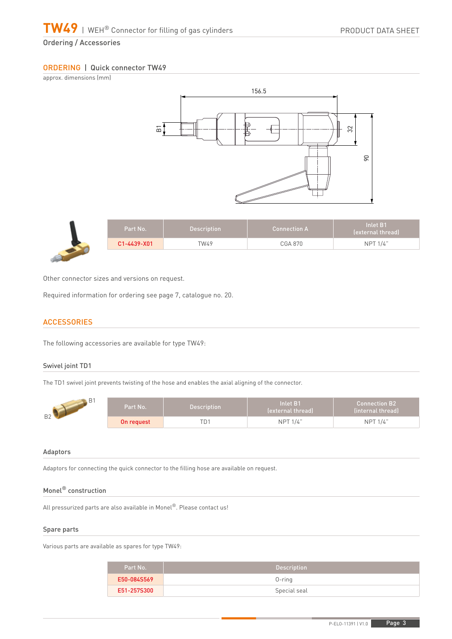## Ordering / Accessories

## ORDERING | Quick connector TW49

approx. dimensions (mm)



| Part No.    | <b>Description</b> | $\Lambda$ Connection A | $\blacksquare$ Inlet B1<br>(external thread) |
|-------------|--------------------|------------------------|----------------------------------------------|
| C1-4439-X01 | TW49               | <b>CGA 870</b>         | <b>NPT 1/4"</b>                              |

Other connector sizes and versions on request.

Required information for ordering see page 7, catalogue no. 20.

## **ACCESSORIES**

The following accessories are available for type TW49:

#### Swivel joint TD1

The TD1 swivel joint prevents twisting of the hose and enables the axial aligning of the connector.

| B <sub>2</sub> | Part No.'  | <b>Description</b> | Inlet B1<br>(external thread) | $\blacksquare$ Connection B2 $\blacksquare$<br>linternal thread) |
|----------------|------------|--------------------|-------------------------------|------------------------------------------------------------------|
|                | On reauest | ™Dî                | NPT 1/4"                      | <b>NPT 1/4"</b>                                                  |

## Adaptors

Adaptors for connecting the quick connector to the filling hose are available on request.

## Monel® construction

All pressurized parts are also available in Monel®. Please contact us!

#### Spare parts

Various parts are available as spares for type TW49:

| Part No.    | <b>Description</b> |
|-------------|--------------------|
| E50-084S569 | $0$ -ring          |
| E51-257S300 | Special seal       |